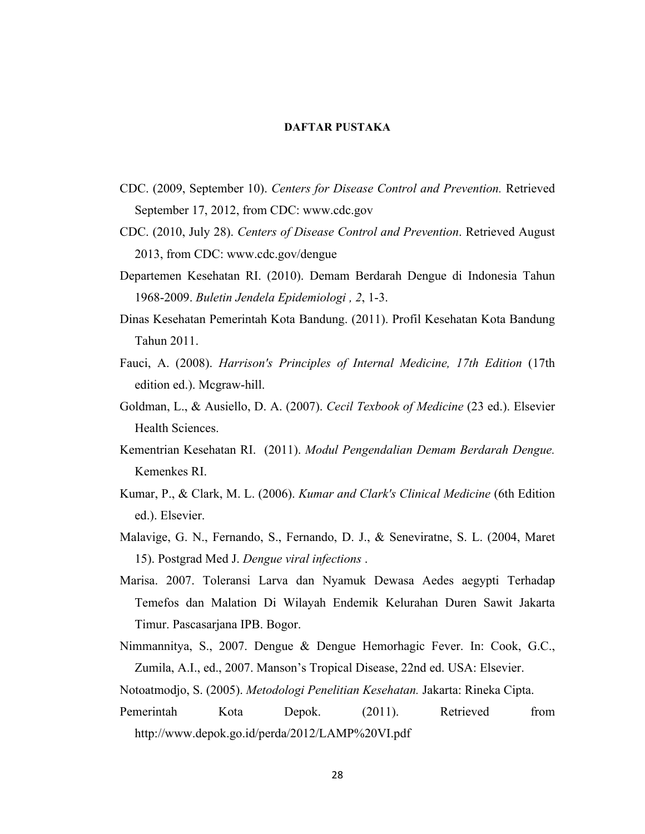## **DAFTAR PUSTAKA**

- CDC. (2009, September 10). *Centers for Disease Control and Prevention.* Retrieved September 17, 2012, from CDC: www.cdc.gov
- CDC. (2010, July 28). *Centers of Disease Control and Prevention*. Retrieved August 2013, from CDC: www.cdc.gov/dengue
- Departemen Kesehatan RI. (2010). Demam Berdarah Dengue di Indonesia Tahun 1968-2009. *Buletin Jendela Epidemiologi , 2*, 1-3.
- Dinas Kesehatan Pemerintah Kota Bandung. (2011). Profil Kesehatan Kota Bandung Tahun 2011.
- Fauci, A. (2008). *Harrison's Principles of Internal Medicine, 17th Edition* (17th edition ed.). Mcgraw-hill.
- Goldman, L., & Ausiello, D. A. (2007). *Cecil Texbook of Medicine* (23 ed.). Elsevier Health Sciences.
- Kementrian Kesehatan RI. (2011). *Modul Pengendalian Demam Berdarah Dengue.*  Kemenkes RI.
- Kumar, P., & Clark, M. L. (2006). *Kumar and Clark's Clinical Medicine* (6th Edition ed.). Elsevier.
- Malavige, G. N., Fernando, S., Fernando, D. J., & Seneviratne, S. L. (2004, Maret 15). Postgrad Med J. *Dengue viral infections* .
- Marisa. 2007. Toleransi Larva dan Nyamuk Dewasa Aedes aegypti Terhadap Temefos dan Malation Di Wilayah Endemik Kelurahan Duren Sawit Jakarta Timur. Pascasarjana IPB. Bogor.
- Nimmannitya, S., 2007. Dengue & Dengue Hemorhagic Fever. In: Cook, G.C., Zumila, A.I., ed., 2007. Manson's Tropical Disease, 22nd ed. USA: Elsevier.
- Notoatmodjo, S. (2005). *Metodologi Penelitian Kesehatan.* Jakarta: Rineka Cipta.
- Pemerintah Kota Depok. (2011). Retrieved from http://www.depok.go.id/perda/2012/LAMP%20VI.pdf